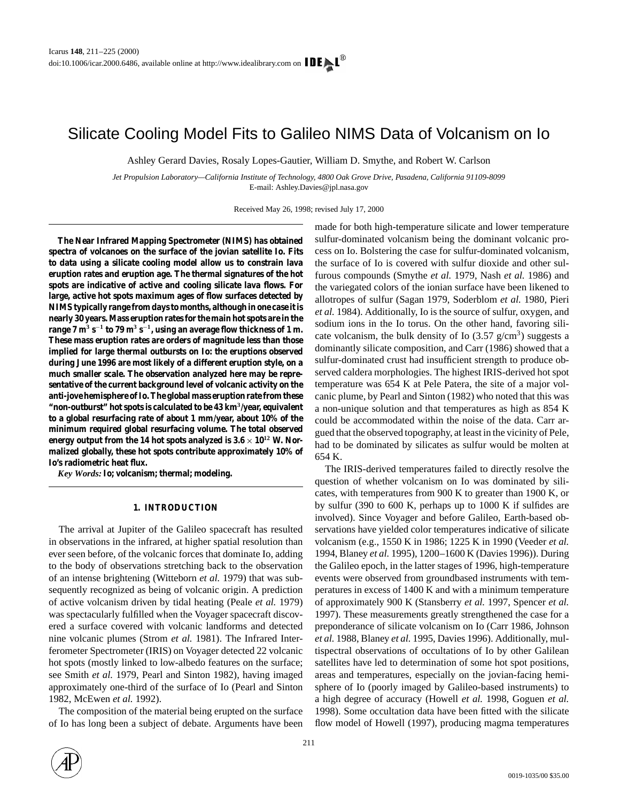# Silicate Cooling Model Fits to Galileo NIMS Data of Volcanism on Io

Ashley Gerard Davies, Rosaly Lopes-Gautier, William D. Smythe, and Robert W. Carlson

*Jet Propulsion Laboratory—California Institute of Technology, 4800 Oak Grove Drive, Pasadena, California 91109-8099* E-mail: Ashley.Davies@jpl.nasa.gov

Received May 26, 1998; revised July 17, 2000

**The Near Infrared Mapping Spectrometer (NIMS) has obtained spectra of volcanoes on the surface of the jovian satellite Io. Fits to data using a silicate cooling model allow us to constrain lava eruption rates and eruption age. The thermal signatures of the hot spots are indicative of active and cooling silicate lava flows. For large, active hot spots maximum ages of flow surfaces detected by NIMS typically range from days to months, although in one case it is nearly 30 years. Mass eruption rates for the main hot spots are in the range 7 m<sup>3</sup> s**−**<sup>1</sup> to 79 m<sup>3</sup> s**−**<sup>1</sup>, using an average flow thickness of 1 m. These mass eruption rates are orders of magnitude less than those implied for large thermal outbursts on Io: the eruptions observed during June 1996 are most likely of a different eruption style, on a much smaller scale. The observation analyzed here may be representative of the current background level of volcanic activity on the anti-jove hemisphere of Io. The global mass eruption rate from these "non-outburst" hot spots is calculated to be 43 km<sup>3</sup>/year, equivalent to a global resurfacing rate of about 1 mm/year, about 10% of the minimum required global resurfacing volume. The total observed** energy output from the 14 hot spots analyzed is  $3.6 \times 10^{12}$  W. Nor**malized globally, these hot spots contribute approximately 10% of Io's radiometric heat flux.**

*Key Words:* **Io; volcanism; thermal; modeling.**

## **1. INTRODUCTION**

The arrival at Jupiter of the Galileo spacecraft has resulted in observations in the infrared, at higher spatial resolution than ever seen before, of the volcanic forces that dominate Io, adding to the body of observations stretching back to the observation of an intense brightening (Witteborn *et al.* 1979) that was subsequently recognized as being of volcanic origin. A prediction of active volcanism driven by tidal heating (Peale *et al.* 1979) was spectacularly fulfilled when the Voyager spacecraft discovered a surface covered with volcanic landforms and detected nine volcanic plumes (Strom *et al.* 1981). The Infrared Interferometer Spectrometer (IRIS) on Voyager detected 22 volcanic hot spots (mostly linked to low-albedo features on the surface; see Smith *et al.* 1979, Pearl and Sinton 1982), having imaged approximately one-third of the surface of Io (Pearl and Sinton 1982, McEwen *et al.* 1992).

The composition of the material being erupted on the surface of Io has long been a subject of debate. Arguments have been made for both high-temperature silicate and lower temperature sulfur-dominated volcanism being the dominant volcanic process on Io. Bolstering the case for sulfur-dominated volcanism, the surface of Io is covered with sulfur dioxide and other sulfurous compounds (Smythe *et al.* 1979, Nash *et al.* 1986) and the variegated colors of the ionian surface have been likened to allotropes of sulfur (Sagan 1979, Soderblom *et al.* 1980, Pieri *et al.* 1984). Additionally, Io is the source of sulfur, oxygen, and sodium ions in the Io torus. On the other hand, favoring silicate volcanism, the bulk density of Io  $(3.57 \text{ g/cm}^3)$  suggests a dominantly silicate composition, and Carr (1986) showed that a sulfur-dominated crust had insufficient strength to produce observed caldera morphologies. The highest IRIS-derived hot spot temperature was 654 K at Pele Patera, the site of a major volcanic plume, by Pearl and Sinton (1982) who noted that this was a non-unique solution and that temperatures as high as 854 K could be accommodated within the noise of the data. Carr argued that the observed topography, at least in the vicinity of Pele, had to be dominated by silicates as sulfur would be molten at 654 K.

The IRIS-derived temperatures failed to directly resolve the question of whether volcanism on Io was dominated by silicates, with temperatures from 900 K to greater than 1900 K, or by sulfur (390 to 600 K, perhaps up to 1000 K if sulfides are involved). Since Voyager and before Galileo, Earth-based observations have yielded color temperatures indicative of silicate volcanism (e.g., 1550 K in 1986; 1225 K in 1990 (Veeder *et al.* 1994, Blaney *et al.* 1995), 1200–1600 K (Davies 1996)). During the Galileo epoch, in the latter stages of 1996, high-temperature events were observed from groundbased instruments with temperatures in excess of 1400 K and with a minimum temperature of approximately 900 K (Stansberry *et al.* 1997, Spencer *et al.* 1997). These measurements greatly strengthened the case for a preponderance of silicate volcanism on Io (Carr 1986, Johnson *et al.* 1988, Blaney *et al.* 1995, Davies 1996). Additionally, multispectral observations of occultations of Io by other Galilean satellites have led to determination of some hot spot positions, areas and temperatures, especially on the jovian-facing hemisphere of Io (poorly imaged by Galileo-based instruments) to a high degree of accuracy (Howell *et al.* 1998, Goguen *et al.* 1998). Some occultation data have been fitted with the silicate flow model of Howell (1997), producing magma temperatures

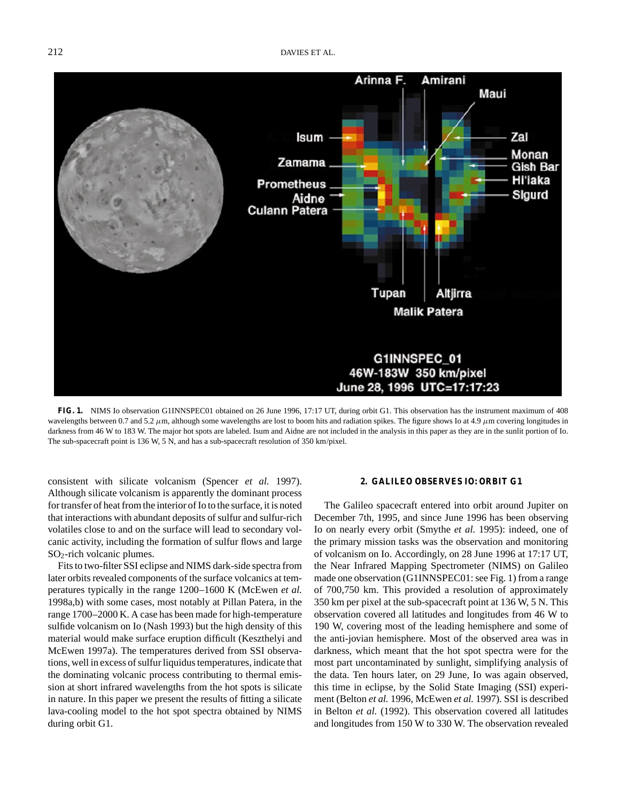

**FIG. 1.** NIMS Io observation G1INNSPEC01 obtained on 26 June 1996, 17:17 UT, during orbit G1. This observation has the instrument maximum of 408 wavelengths between 0.7 and 5.2  $\mu$ m, although some wavelengths are lost to boom hits and radiation spikes. The figure shows Io at 4.9  $\mu$ m covering longitudes in darkness from 46 W to 183 W. The major hot spots are labeled. Isum and Aidne are not included in the analysis in this paper as they are in the sunlit portion of Io. The sub-spacecraft point is 136 W, 5 N, and has a sub-spacecraft resolution of 350 km/pixel.

consistent with silicate volcanism (Spencer *et al.* 1997). Although silicate volcanism is apparently the dominant process for transfer of heat from the interior of Io to the surface, it is noted that interactions with abundant deposits of sulfur and sulfur-rich volatiles close to and on the surface will lead to secondary volcanic activity, including the formation of sulfur flows and large  $SO<sub>2</sub>$ -rich volcanic plumes.

Fits to two-filter SSI eclipse and NIMS dark-side spectra from later orbits revealed components of the surface volcanics at temperatures typically in the range 1200–1600 K (McEwen *et al.* 1998a,b) with some cases, most notably at Pillan Patera, in the range 1700–2000 K. A case has been made for high-temperature sulfide volcanism on Io (Nash 1993) but the high density of this material would make surface eruption difficult (Keszthelyi and McEwen 1997a). The temperatures derived from SSI observations, well in excess of sulfur liquidus temperatures, indicate that the dominating volcanic process contributing to thermal emission at short infrared wavelengths from the hot spots is silicate in nature. In this paper we present the results of fitting a silicate lava-cooling model to the hot spot spectra obtained by NIMS during orbit G1.

## **2. GALILEO OBSERVES IO: ORBIT G1**

The Galileo spacecraft entered into orbit around Jupiter on December 7th, 1995, and since June 1996 has been observing Io on nearly every orbit (Smythe *et al.* 1995): indeed, one of the primary mission tasks was the observation and monitoring of volcanism on Io. Accordingly, on 28 June 1996 at 17:17 UT, the Near Infrared Mapping Spectrometer (NIMS) on Galileo made one observation (G1INNSPEC01: see Fig. 1) from a range of 700,750 km. This provided a resolution of approximately 350 km per pixel at the sub-spacecraft point at 136 W, 5 N. This observation covered all latitudes and longitudes from 46 W to 190 W, covering most of the leading hemisphere and some of the anti-jovian hemisphere. Most of the observed area was in darkness, which meant that the hot spot spectra were for the most part uncontaminated by sunlight, simplifying analysis of the data. Ten hours later, on 29 June, Io was again observed, this time in eclipse, by the Solid State Imaging (SSI) experiment (Belton *et al.* 1996, McEwen *et al.* 1997). SSI is described in Belton *et al.* (1992). This observation covered all latitudes and longitudes from 150 W to 330 W. The observation revealed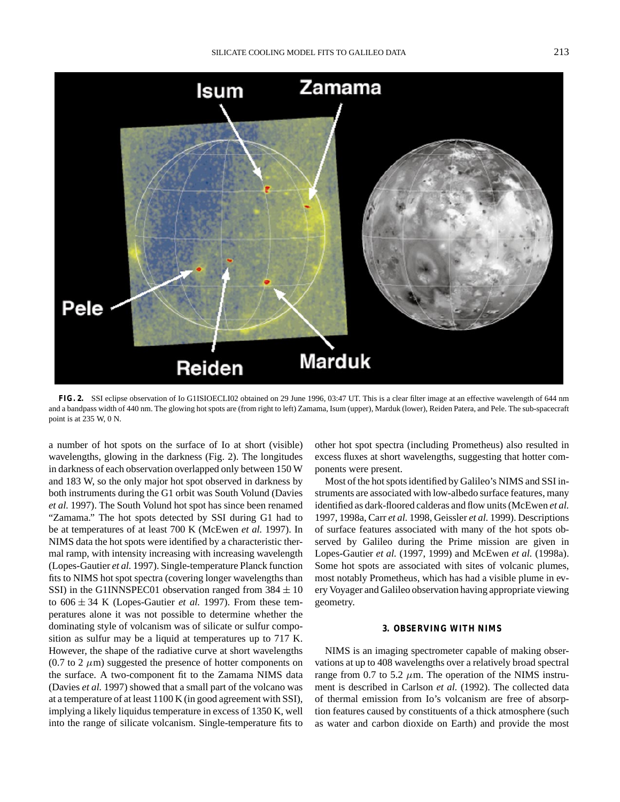

**FIG. 2.** SSI eclipse observation of Io G1ISIOECLI02 obtained on 29 June 1996, 03:47 UT. This is a clear filter image at an effective wavelength of 644 nm and a bandpass width of 440 nm. The glowing hot spots are (from right to left) Zamama, Isum (upper), Marduk (lower), Reiden Patera, and Pele. The sub-spacecraft point is at 235 W, 0 N.

a number of hot spots on the surface of Io at short (visible) wavelengths, glowing in the darkness (Fig. 2). The longitudes in darkness of each observation overlapped only between 150 W and 183 W, so the only major hot spot observed in darkness by both instruments during the G1 orbit was South Volund (Davies *et al.* 1997). The South Volund hot spot has since been renamed "Zamama." The hot spots detected by SSI during G1 had to be at temperatures of at least 700 K (McEwen *et al.* 1997). In NIMS data the hot spots were identified by a characteristic thermal ramp, with intensity increasing with increasing wavelength (Lopes-Gautier *et al.* 1997). Single-temperature Planck function fits to NIMS hot spot spectra (covering longer wavelengths than SSI) in the G1INNSPEC01 observation ranged from  $384 \pm 10$ to  $606 \pm 34$  K (Lopes-Gautier *et al.* 1997). From these temperatures alone it was not possible to determine whether the dominating style of volcanism was of silicate or sulfur composition as sulfur may be a liquid at temperatures up to 717 K. However, the shape of the radiative curve at short wavelengths  $(0.7 \text{ to } 2 \mu \text{m})$  suggested the presence of hotter components on the surface. A two-component fit to the Zamama NIMS data (Davies *et al.* 1997) showed that a small part of the volcano was at a temperature of at least 1100 K (in good agreement with SSI), implying a likely liquidus temperature in excess of 1350 K, well into the range of silicate volcanism. Single-temperature fits to other hot spot spectra (including Prometheus) also resulted in excess fluxes at short wavelengths, suggesting that hotter components were present.

Most of the hot spots identified by Galileo's NIMS and SSI instruments are associated with low-albedo surface features, many identified as dark-floored calderas and flow units (McEwen *et al.* 1997, 1998a, Carr *et al.* 1998, Geissler *et al.* 1999). Descriptions of surface features associated with many of the hot spots observed by Galileo during the Prime mission are given in Lopes-Gautier *et al.* (1997, 1999) and McEwen *et al.* (1998a). Some hot spots are associated with sites of volcanic plumes, most notably Prometheus, which has had a visible plume in every Voyager and Galileo observation having appropriate viewing geometry.

#### **3. OBSERVING WITH NIMS**

NIMS is an imaging spectrometer capable of making observations at up to 408 wavelengths over a relatively broad spectral range from 0.7 to 5.2  $\mu$ m. The operation of the NIMS instrument is described in Carlson *et al.* (1992). The collected data of thermal emission from Io's volcanism are free of absorption features caused by constituents of a thick atmosphere (such as water and carbon dioxide on Earth) and provide the most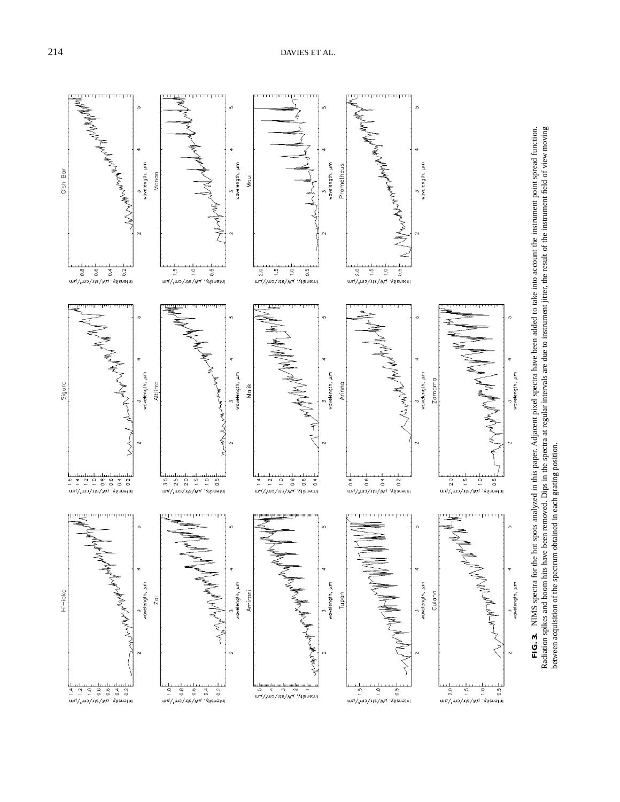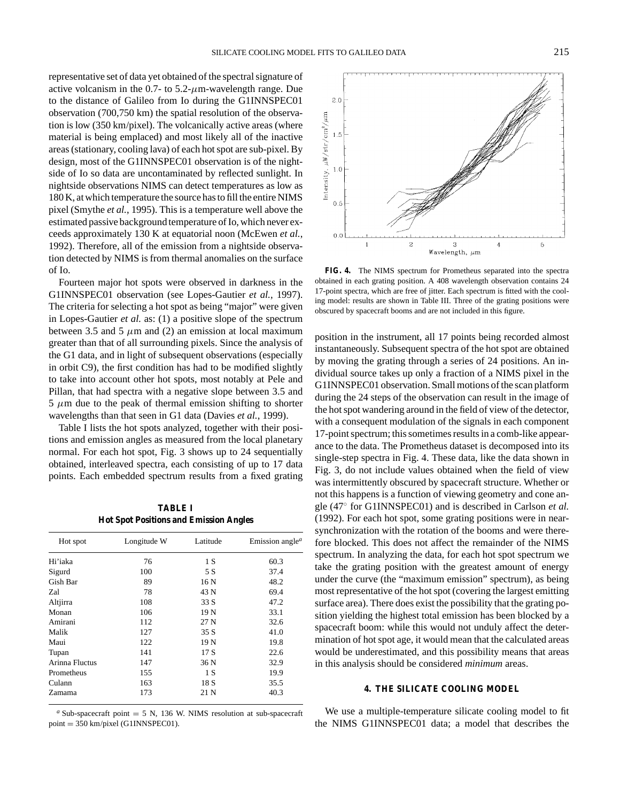representative set of data yet obtained of the spectral signature of active volcanism in the 0.7- to  $5.2$ - $\mu$ m-wavelength range. Due to the distance of Galileo from Io during the G1INNSPEC01 observation (700,750 km) the spatial resolution of the observation is low (350 km/pixel). The volcanically active areas (where material is being emplaced) and most likely all of the inactive areas (stationary, cooling lava) of each hot spot are sub-pixel. By design, most of the G1INNSPEC01 observation is of the nightside of Io so data are uncontaminated by reflected sunlight. In nightside observations NIMS can detect temperatures as low as 180 K, at which temperature the source has to fill the entire NIMS pixel (Smythe *et al.*, 1995). This is a temperature well above the estimated passive background temperature of Io, which never exceeds approximately 130 K at equatorial noon (McEwen *et al.*, 1992). Therefore, all of the emission from a nightside observation detected by NIMS is from thermal anomalies on the surface of Io.

Fourteen major hot spots were observed in darkness in the G1INNSPEC01 observation (see Lopes-Gautier *et al.*, 1997). The criteria for selecting a hot spot as being "major" were given in Lopes-Gautier *et al.* as: (1) a positive slope of the spectrum between 3.5 and 5  $\mu$ m and (2) an emission at local maximum greater than that of all surrounding pixels. Since the analysis of the G1 data, and in light of subsequent observations (especially in orbit C9), the first condition has had to be modified slightly to take into account other hot spots, most notably at Pele and Pillan, that had spectra with a negative slope between 3.5 and  $5 \mu m$  due to the peak of thermal emission shifting to shorter wavelengths than that seen in G1 data (Davies *et al.*, 1999).

Table I lists the hot spots analyzed, together with their positions and emission angles as measured from the local planetary normal. For each hot spot, Fig. 3 shows up to 24 sequentially obtained, interleaved spectra, each consisting of up to 17 data points. Each embedded spectrum results from a fixed grating

**TABLE I Hot Spot Positions and Emission Angles**

| Hot spot       | Longitude W | Latitude | Emission angle <sup><math>a</math></sup> |  |
|----------------|-------------|----------|------------------------------------------|--|
| Hi'iaka        | 76          | 1 S      | 60.3                                     |  |
| Sigurd         | 100         | 5 S      | 37.4                                     |  |
| Gish Bar       | 89          | 16 N     | 48.2                                     |  |
| Zal            | 78          | 43 N     | 69.4                                     |  |
| Altjirra       | 108         | 33 S     | 47.2                                     |  |
| Monan          | 106         | 19 N     | 33.1                                     |  |
| Amirani        | 112         | 27 N     | 32.6                                     |  |
| Malik          | 127         | 35 S     | 41.0                                     |  |
| Maui           | 122         | 19 N     | 19.8                                     |  |
| Tupan          | 141         | 17S      | 22.6                                     |  |
| Arinna Fluctus | 147         | 36 N     | 32.9                                     |  |
| Prometheus     | 155         | 1 S      | 19.9                                     |  |
| Culann         | 163         | 18 S     | 35.5                                     |  |
| Zamama         | 173         | 21 N     | 40.3                                     |  |

<sup>*a*</sup> Sub-spacecraft point = 5 N, 136 W. NIMS resolution at sub-spacecraft point = 350 km/pixel (G1INNSPEC01).



**FIG. 4.** The NIMS spectrum for Prometheus separated into the spectra obtained in each grating position. A 408 wavelength observation contains 24 17-point spectra, which are free of jitter. Each spectrum is fitted with the cooling model: results are shown in Table III. Three of the grating positions were obscured by spacecraft booms and are not included in this figure.

position in the instrument, all 17 points being recorded almost instantaneously. Subsequent spectra of the hot spot are obtained by moving the grating through a series of 24 positions. An individual source takes up only a fraction of a NIMS pixel in the G1INNSPEC01 observation. Small motions of the scan platform during the 24 steps of the observation can result in the image of the hot spot wandering around in the field of view of the detector, with a consequent modulation of the signals in each component 17-point spectrum; this sometimes results in a comb-like appearance to the data. The Prometheus dataset is decomposed into its single-step spectra in Fig. 4. These data, like the data shown in Fig. 3, do not include values obtained when the field of view was intermittently obscured by spacecraft structure. Whether or not this happens is a function of viewing geometry and cone angle (47◦ for G1INNSPEC01) and is described in Carlson *et al.* (1992). For each hot spot, some grating positions were in nearsynchronization with the rotation of the booms and were therefore blocked. This does not affect the remainder of the NIMS spectrum. In analyzing the data, for each hot spot spectrum we take the grating position with the greatest amount of energy under the curve (the "maximum emission" spectrum), as being most representative of the hot spot (covering the largest emitting surface area). There does exist the possibility that the grating position yielding the highest total emission has been blocked by a spacecraft boom: while this would not unduly affect the determination of hot spot age, it would mean that the calculated areas would be underestimated, and this possibility means that areas in this analysis should be considered *minimum* areas.

#### **4. THE SILICATE COOLING MODEL**

We use a multiple-temperature silicate cooling model to fit the NIMS G1INNSPEC01 data; a model that describes the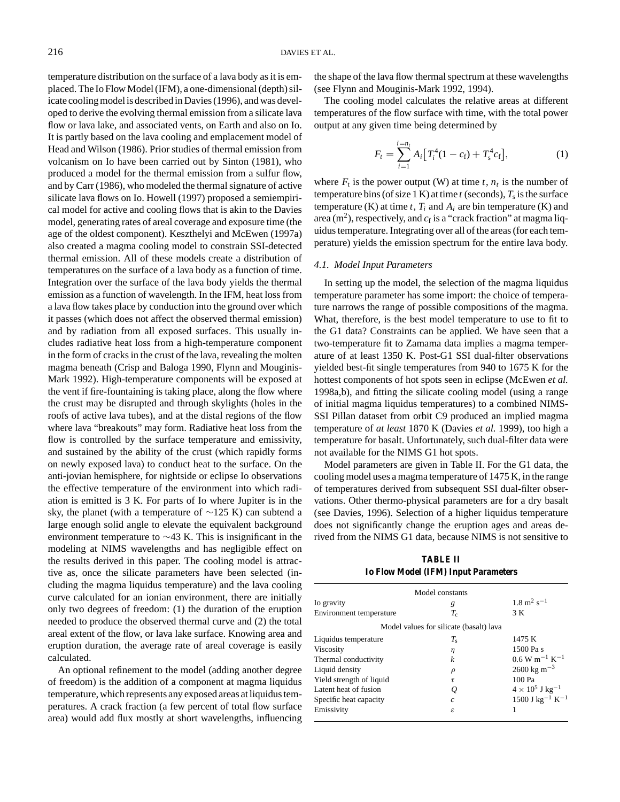temperature distribution on the surface of a lava body as it is emplaced. The Io Flow Model (IFM), a one-dimensional (depth) silicate cooling model is described in Davies (1996), and was developed to derive the evolving thermal emission from a silicate lava flow or lava lake, and associated vents, on Earth and also on Io. It is partly based on the lava cooling and emplacement model of Head and Wilson (1986). Prior studies of thermal emission from volcanism on Io have been carried out by Sinton (1981), who produced a model for the thermal emission from a sulfur flow, and by Carr (1986), who modeled the thermal signature of active silicate lava flows on Io. Howell (1997) proposed a semiempirical model for active and cooling flows that is akin to the Davies model, generating rates of areal coverage and exposure time (the age of the oldest component). Keszthelyi and McEwen (1997a) also created a magma cooling model to constrain SSI-detected thermal emission. All of these models create a distribution of temperatures on the surface of a lava body as a function of time. Integration over the surface of the lava body yields the thermal emission as a function of wavelength. In the IFM, heat loss from a lava flow takes place by conduction into the ground over which it passes (which does not affect the observed thermal emission) and by radiation from all exposed surfaces. This usually includes radiative heat loss from a high-temperature component in the form of cracks in the crust of the lava, revealing the molten magma beneath (Crisp and Baloga 1990, Flynn and Mouginis-Mark 1992). High-temperature components will be exposed at the vent if fire-fountaining is taking place, along the flow where the crust may be disrupted and through skylights (holes in the roofs of active lava tubes), and at the distal regions of the flow where lava "breakouts" may form. Radiative heat loss from the flow is controlled by the surface temperature and emissivity, and sustained by the ability of the crust (which rapidly forms on newly exposed lava) to conduct heat to the surface. On the anti-jovian hemisphere, for nightside or eclipse Io observations the effective temperature of the environment into which radiation is emitted is 3 K. For parts of Io where Jupiter is in the sky, the planet (with a temperature of  $\sim$ 125 K) can subtend a large enough solid angle to elevate the equivalent background environment temperature to ∼43 K. This is insignificant in the modeling at NIMS wavelengths and has negligible effect on the results derived in this paper. The cooling model is attractive as, once the silicate parameters have been selected (including the magma liquidus temperature) and the lava cooling curve calculated for an ionian environment, there are initially only two degrees of freedom: (1) the duration of the eruption needed to produce the observed thermal curve and (2) the total areal extent of the flow, or lava lake surface. Knowing area and eruption duration, the average rate of areal coverage is easily calculated.

An optional refinement to the model (adding another degree of freedom) is the addition of a component at magma liquidus temperature, which represents any exposed areas at liquidus temperatures. A crack fraction (a few percent of total flow surface area) would add flux mostly at short wavelengths, influencing

the shape of the lava flow thermal spectrum at these wavelengths (see Flynn and Mouginis-Mark 1992, 1994).

The cooling model calculates the relative areas at different temperatures of the flow surface with time, with the total power output at any given time being determined by

$$
F_t = \sum_{i=1}^{i=n_t} A_i \big[ T_i^4 (1 - c_f) + T_s^4 c_f \big],\tag{1}
$$

where  $F_t$  is the power output (W) at time  $t$ ,  $n_t$  is the number of temperature bins (of size 1 K) at time  $t$  (seconds),  $T_s$  is the surface temperature  $(K)$  at time  $t$ ,  $T_i$  and  $A_i$  are bin temperature  $(K)$  and area  $(m^2)$ , respectively, and  $c_f$  is a "crack fraction" at magma liquidus temperature. Integrating over all of the areas (for each temperature) yields the emission spectrum for the entire lava body.

#### *4.1. Model Input Parameters*

In setting up the model, the selection of the magma liquidus temperature parameter has some import: the choice of temperature narrows the range of possible compositions of the magma. What, therefore, is the best model temperature to use to fit to the G1 data? Constraints can be applied. We have seen that a two-temperature fit to Zamama data implies a magma temperature of at least 1350 K. Post-G1 SSI dual-filter observations yielded best-fit single temperatures from 940 to 1675 K for the hottest components of hot spots seen in eclipse (McEwen *et al.* 1998a,b), and fitting the silicate cooling model (using a range of initial magma liquidus temperatures) to a combined NIMS-SSI Pillan dataset from orbit C9 produced an implied magma temperature of *at least* 1870 K (Davies *et al.* 1999), too high a temperature for basalt. Unfortunately, such dual-filter data were not available for the NIMS G1 hot spots.

Model parameters are given in Table II. For the G1 data, the cooling model uses a magma temperature of 1475 K, in the range of temperatures derived from subsequent SSI dual-filter observations. Other thermo-physical parameters are for a dry basalt (see Davies, 1996). Selection of a higher liquidus temperature does not significantly change the eruption ages and areas derived from the NIMS G1 data, because NIMS is not sensitive to

# **TABLE II Io Flow Model (IFM) Input Parameters**

|                          | Model constants                         |                                                                               |  |
|--------------------------|-----------------------------------------|-------------------------------------------------------------------------------|--|
| Io gravity               | g                                       | $1.8 \text{ m}^2 \text{ s}^{-1}$                                              |  |
| Environment temperature  | $T_{\rm c}$                             | 3 K                                                                           |  |
|                          | Model values for silicate (basalt) lava |                                                                               |  |
| Liquidus temperature     | $T_{\rm s}$                             | 1475 K                                                                        |  |
| <b>Viscosity</b>         | $\eta$                                  | 1500 Pa s                                                                     |  |
| Thermal conductivity     | k                                       | $0.6 W m^{-1} K^{-1}$                                                         |  |
| Liquid density           | $\rho$                                  | $2600 \text{ kg m}^{-3}$                                                      |  |
| Yield strength of liquid | τ                                       | 100 Pa                                                                        |  |
| Latent heat of fusion    | Q                                       |                                                                               |  |
| Specific heat capacity   | $\mathcal{C}$                           | $4 \times 10^5$ J kg <sup>-1</sup><br>1500 J kg <sup>-1</sup> K <sup>-1</sup> |  |
| Emissivity               | ε                                       |                                                                               |  |
|                          |                                         |                                                                               |  |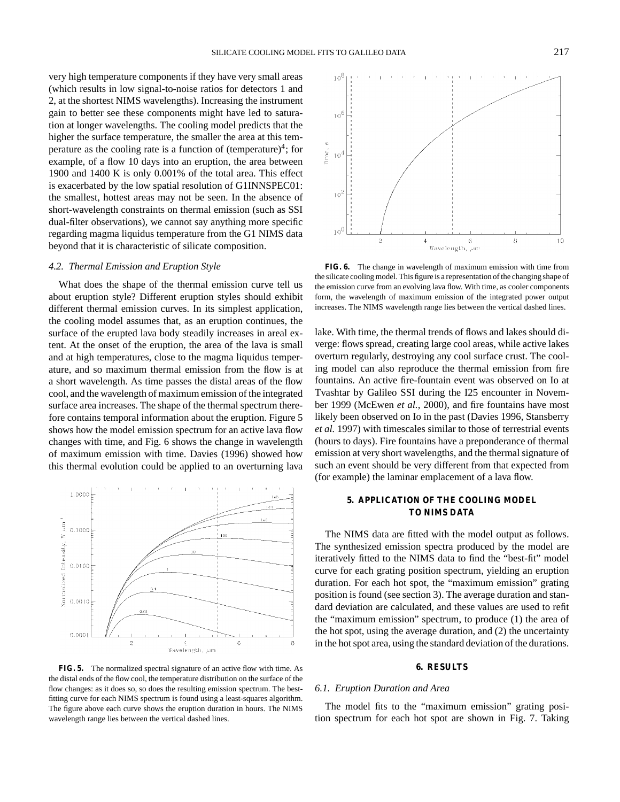very high temperature components if they have very small areas (which results in low signal-to-noise ratios for detectors 1 and 2, at the shortest NIMS wavelengths). Increasing the instrument gain to better see these components might have led to saturation at longer wavelengths. The cooling model predicts that the higher the surface temperature, the smaller the area at this temperature as the cooling rate is a function of (temperature)<sup>4</sup>; for example, of a flow 10 days into an eruption, the area between 1900 and 1400 K is only 0.001% of the total area. This effect is exacerbated by the low spatial resolution of G1INNSPEC01: the smallest, hottest areas may not be seen. In the absence of short-wavelength constraints on thermal emission (such as SSI dual-filter observations), we cannot say anything more specific regarding magma liquidus temperature from the G1 NIMS data beyond that it is characteristic of silicate composition.

#### *4.2. Thermal Emission and Eruption Style*

What does the shape of the thermal emission curve tell us about eruption style? Different eruption styles should exhibit different thermal emission curves. In its simplest application, the cooling model assumes that, as an eruption continues, the surface of the erupted lava body steadily increases in areal extent. At the onset of the eruption, the area of the lava is small and at high temperatures, close to the magma liquidus temperature, and so maximum thermal emission from the flow is at a short wavelength. As time passes the distal areas of the flow cool, and the wavelength of maximum emission of the integrated surface area increases. The shape of the thermal spectrum therefore contains temporal information about the eruption. Figure 5 shows how the model emission spectrum for an active lava flow changes with time, and Fig. 6 shows the change in wavelength of maximum emission with time. Davies (1996) showed how this thermal evolution could be applied to an overturning lava



**FIG. 5.** The normalized spectral signature of an active flow with time. As the distal ends of the flow cool, the temperature distribution on the surface of the flow changes: as it does so, so does the resulting emission spectrum. The bestfitting curve for each NIMS spectrum is found using a least-squares algorithm. The figure above each curve shows the eruption duration in hours. The NIMS wavelength range lies between the vertical dashed lines.



**FIG. 6.** The change in wavelength of maximum emission with time from the silicate cooling model. This figure is a representation of the changing shape of the emission curve from an evolving lava flow. With time, as cooler components form, the wavelength of maximum emission of the integrated power output increases. The NIMS wavelength range lies between the vertical dashed lines.

lake. With time, the thermal trends of flows and lakes should diverge: flows spread, creating large cool areas, while active lakes overturn regularly, destroying any cool surface crust. The cooling model can also reproduce the thermal emission from fire fountains. An active fire-fountain event was observed on Io at Tvashtar by Galileo SSI during the I25 encounter in November 1999 (McEwen *et al.*, 2000), and fire fountains have most likely been observed on Io in the past (Davies 1996, Stansberry *et al.* 1997) with timescales similar to those of terrestrial events (hours to days). Fire fountains have a preponderance of thermal emission at very short wavelengths, and the thermal signature of such an event should be very different from that expected from (for example) the laminar emplacement of a lava flow.

# **5. APPLICATION OF THE COOLING MODEL TO NIMS DATA**

The NIMS data are fitted with the model output as follows. The synthesized emission spectra produced by the model are iteratively fitted to the NIMS data to find the "best-fit" model curve for each grating position spectrum, yielding an eruption duration. For each hot spot, the "maximum emission" grating position is found (see section 3). The average duration and standard deviation are calculated, and these values are used to refit the "maximum emission" spectrum, to produce (1) the area of the hot spot, using the average duration, and (2) the uncertainty in the hot spot area, using the standard deviation of the durations.

#### **6. RESULTS**

## *6.1. Eruption Duration and Area*

The model fits to the "maximum emission" grating position spectrum for each hot spot are shown in Fig. 7. Taking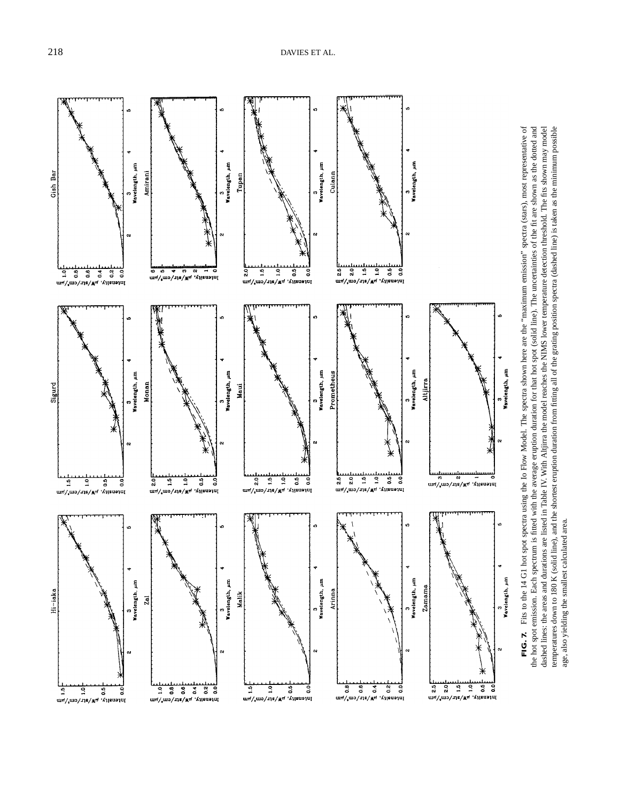

temperatures down to 180 K (solid line), and the shortest eruption duration from fitting all of the grating position spectra (dashed line) is taken as the minimum possible the hot spot emission. Each spectrum is fitted with the average eruption duration for that hot spot (solid line). The uncertainties of the fit are shown as the dotted and dashed lines; the areas and durations are listed in Table IV. With Alfjirra the model reaches the NIMS lower temperature detection threshold. The fits shown may model the hot spot emission. Each spectrum is fitted with the average eruption duration for that hot spot (solid line). The uncertainties of the fit are shown as the dotted and dashed lines: the areas and durations are listed in Table IV. With Altjirra the model reaches the NIMS lower temperature detection threshold. The fits shown may model temperatures down to 180 K (solid line), and the shortest eruption duration from fitting all of the grating position spectra (dashed line) is taken as the minimum possible age, also yielding the smallest calculated area. age, also yielding the smallest calculated area.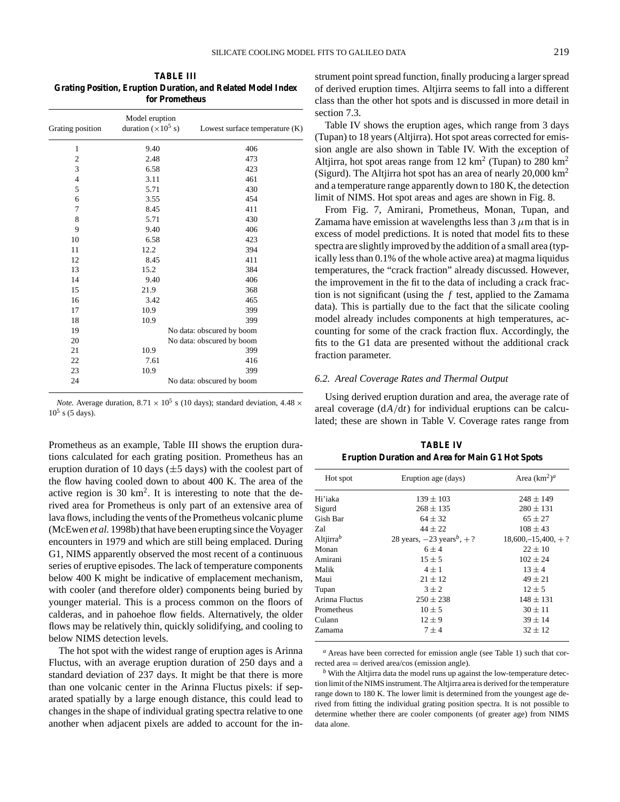**TABLE III Grating Position, Eruption Duration, and Related Model Index for Prometheus**

| Grating position | Model eruption<br>duration ( $\times 10^5$ s) | Lowest surface temperature (K) |  |
|------------------|-----------------------------------------------|--------------------------------|--|
| 1                | 9.40                                          | 406                            |  |
| 2                | 2.48                                          | 473                            |  |
| 3                | 6.58                                          | 423                            |  |
| $\overline{4}$   | 3.11                                          | 461                            |  |
| 5                | 5.71                                          | 430                            |  |
| 6                | 3.55                                          | 454                            |  |
| 7                | 8.45                                          | 411                            |  |
| 8                | 5.71                                          | 430                            |  |
| 9                | 9.40                                          | 406                            |  |
| 10               | 6.58                                          | 423                            |  |
| 11               | 12.2                                          | 394                            |  |
| 12               | 8.45                                          | 411                            |  |
| 13               | 15.2                                          | 384                            |  |
| 14               | 9.40                                          | 406                            |  |
| 15               | 21.9                                          | 368                            |  |
| 16               | 3.42                                          | 465                            |  |
| 17               | 10.9                                          | 399                            |  |
| 18               | 10.9                                          | 399                            |  |
| 19               |                                               | No data: obscured by boom      |  |
| 20               |                                               | No data: obscured by boom      |  |
| 21               | 10.9                                          | 399                            |  |
| 22               | 7.61                                          | 416                            |  |
| 23               | 10.9                                          | 399                            |  |
| 24               |                                               | No data: obscured by boom      |  |

*Note.* Average duration,  $8.71 \times 10^5$  s (10 days); standard deviation,  $4.48 \times$  $10^5$  s (5 days).

Prometheus as an example, Table III shows the eruption durations calculated for each grating position. Prometheus has an eruption duration of 10 days  $(\pm 5 \text{ days})$  with the coolest part of the flow having cooled down to about 400 K. The area of the active region is 30  $km^2$ . It is interesting to note that the derived area for Prometheus is only part of an extensive area of lava flows, including the vents of the Prometheus volcanic plume (McEwen *et al.* 1998b) that have been erupting since the Voyager encounters in 1979 and which are still being emplaced. During G1, NIMS apparently observed the most recent of a continuous series of eruptive episodes. The lack of temperature components below 400 K might be indicative of emplacement mechanism, with cooler (and therefore older) components being buried by younger material. This is a process common on the floors of calderas, and in pahoehoe flow fields. Alternatively, the older flows may be relatively thin, quickly solidifying, and cooling to below NIMS detection levels.

The hot spot with the widest range of eruption ages is Arinna Fluctus, with an average eruption duration of 250 days and a standard deviation of 237 days. It might be that there is more than one volcanic center in the Arinna Fluctus pixels: if separated spatially by a large enough distance, this could lead to changes in the shape of individual grating spectra relative to one another when adjacent pixels are added to account for the instrument point spread function, finally producing a larger spread of derived eruption times. Altjirra seems to fall into a different class than the other hot spots and is discussed in more detail in section 7.3.

Table IV shows the eruption ages, which range from 3 days (Tupan) to 18 years (Altjirra). Hot spot areas corrected for emission angle are also shown in Table IV. With the exception of Altjirra, hot spot areas range from 12 km<sup>2</sup> (Tupan) to 280 km<sup>2</sup> (Sigurd). The Altjirra hot spot has an area of nearly  $20,000 \text{ km}^2$ and a temperature range apparently down to 180 K, the detection limit of NIMS. Hot spot areas and ages are shown in Fig. 8.

From Fig. 7, Amirani, Prometheus, Monan, Tupan, and Zamama have emission at wavelengths less than  $3 \mu$ m that is in excess of model predictions. It is noted that model fits to these spectra are slightly improved by the addition of a small area (typically less than 0.1% of the whole active area) at magma liquidus temperatures, the "crack fraction" already discussed. However, the improvement in the fit to the data of including a crack fraction is not significant (using the *f* test, applied to the Zamama data). This is partially due to the fact that the silicate cooling model already includes components at high temperatures, accounting for some of the crack fraction flux. Accordingly, the fits to the G1 data are presented without the additional crack fraction parameter.

#### *6.2. Areal Coverage Rates and Thermal Output*

Using derived eruption duration and area, the average rate of areal coverage (d*A*/d*t*) for individual eruptions can be calculated; these are shown in Table V. Coverage rates range from

**TABLE IV Eruption Duration and Area for Main G1 Hot Spots**

| Hot spot       | Eruption age (days)                        | Area $(km^2)^d$     |  |
|----------------|--------------------------------------------|---------------------|--|
| Hi'iaka        | $139 \pm 103$                              | $248 \pm 149$       |  |
| Sigurd         | $268 \pm 135$                              | $280 \pm 131$       |  |
| Gish Bar       | $64 \pm 32$                                | $65 \pm 27$         |  |
| Zal            | $44 + 22$                                  | $108 \pm 43$        |  |
| Altjirra $b$   | 28 years, $-23$ years <sup>b</sup> , $+$ ? | $18,600,-15,400,+?$ |  |
| Monan          | $6 + 4$                                    | $22 \pm 10$         |  |
| Amirani        | $15 \pm 5$                                 | $102 \pm 24$        |  |
| Malik          | $4 \pm 1$                                  | $13 + 4$            |  |
| Maui           | $21 \pm 12$                                | $49 \pm 21$         |  |
| Tupan          | $3 + 2$                                    | $12 + 5$            |  |
| Arinna Fluctus | $250 \pm 238$                              | $148 \pm 131$       |  |
| Prometheus     | $10 \pm 5$                                 | $30 \pm 11$         |  |
| Culann         | $12 \pm 9$                                 | $39 \pm 14$         |  |
| Zamama         | $7 \pm 4$                                  | $32 \pm 12$         |  |
|                |                                            |                     |  |

*<sup>a</sup>* Areas have been corrected for emission angle (see Table 1) such that corrected area = derived area/cos (emission angle).<br>*b* With the Altjirra data the model runs up against the low-temperature detec-

tion limit of the NIMS instrument. The Altjirra area is derived for the temperature range down to 180 K. The lower limit is determined from the youngest age derived from fitting the individual grating position spectra. It is not possible to determine whether there are cooler components (of greater age) from NIMS data alone.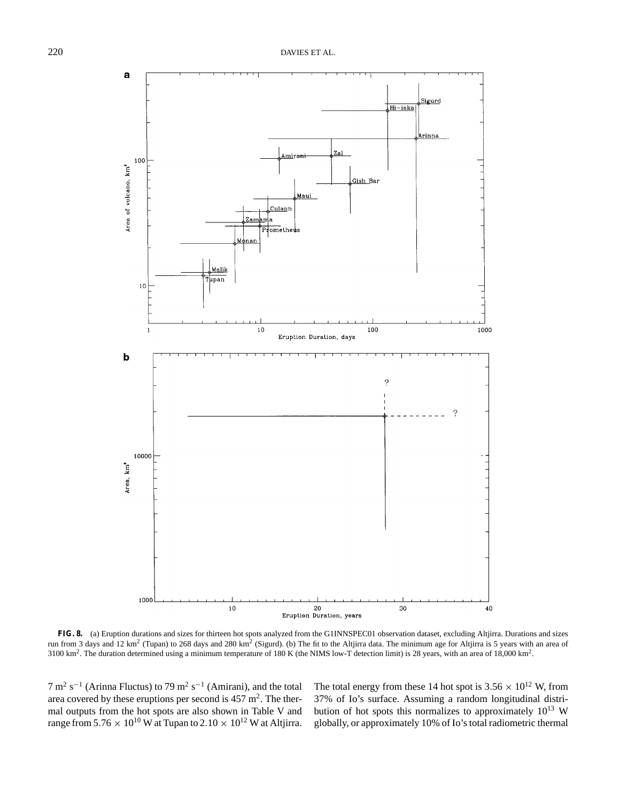

**FIG. 8.** (a) Eruption durations and sizes for thirteen hot spots analyzed from the G1INNSPEC01 observation dataset, excluding Altjirra. Durations and sizes run from 3 days and 12 km<sup>2</sup> (Tupan) to 268 days and 280 km<sup>2</sup> (Sigurd). (b) The fit to the Altjirra data. The minimum age for Altjirra is 5 years with an area of 3100 km2. The duration determined using a minimum temperature of 180 K (the NIMS low-T detection limit) is 28 years, with an area of 18,000 km2.

 $7 \text{ m}^2 \text{ s}^{-1}$  (Arinna Fluctus) to  $79 \text{ m}^2 \text{ s}^{-1}$  (Amirani), and the total area covered by these eruptions per second is 457 m<sup>2</sup>. The thermal outputs from the hot spots are also shown in Table V and range from  $5.76 \times 10^{10}$  W at Tupan to  $2.10 \times 10^{12}$  W at Altjirra. The total energy from these 14 hot spot is  $3.56 \times 10^{12}$  W, from 37% of Io's surface. Assuming a random longitudinal distribution of hot spots this normalizes to approximately  $10^{13}$  W globally, or approximately 10% of Io's total radiometric thermal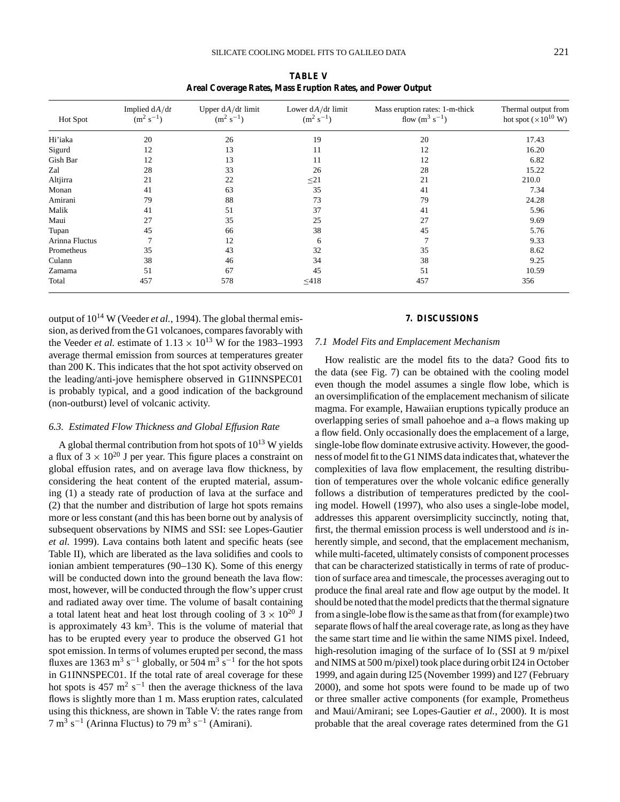| Areal Coverage Rates, Mass Eruption Rates, and Power Output |                                       |                                       |                                                       |                                                      |  |
|-------------------------------------------------------------|---------------------------------------|---------------------------------------|-------------------------------------------------------|------------------------------------------------------|--|
| Implied $dA/dt$<br>$(m^2 s^{-1})$                           | Upper $dA/dt$ limit<br>$(m^2 s^{-1})$ | Lower $dA/dt$ limit<br>$(m^2 s^{-1})$ | Mass eruption rates: 1-m-thick<br>flow $(m^3 s^{-1})$ | Thermal output from<br>hot spot $(\times 10^{10}$ W) |  |
| 20                                                          | 26                                    | 19                                    | 20                                                    | 17.43                                                |  |
| 12                                                          | 13                                    | 11                                    | 12                                                    | 16.20                                                |  |
| 12                                                          | 13                                    | 11                                    | 12                                                    | 6.82                                                 |  |
| 28                                                          | 33                                    | 26                                    | 28                                                    | 15.22                                                |  |
| 21                                                          | 22                                    | $\leq$ 21                             | 21                                                    | 210.0                                                |  |
| 41                                                          | 63                                    | 35                                    | 41                                                    | 7.34                                                 |  |
| 79                                                          | 88                                    | 73                                    | 79                                                    | 24.28                                                |  |
| 41                                                          | 51                                    | 37                                    | 41                                                    | 5.96                                                 |  |
| 27                                                          | 35                                    | 25                                    | 27                                                    | 9.69                                                 |  |
| 45                                                          | 66                                    | 38                                    | 45                                                    | 5.76                                                 |  |
|                                                             | 12                                    | 6                                     | $\overline{7}$                                        | 9.33                                                 |  |
| 35                                                          | 43                                    | 32                                    | 35                                                    | 8.62                                                 |  |
|                                                             | 46                                    | 34                                    |                                                       | 9.25                                                 |  |
| 51                                                          | 67                                    | 45                                    | 51                                                    | 10.59                                                |  |
| 457                                                         | 578                                   | $\leq 418$                            | 457                                                   | 356                                                  |  |
|                                                             | 38                                    |                                       |                                                       | 38                                                   |  |

**TABLE V**

output of 10<sup>14</sup> W (Veeder *et al.*, 1994). The global thermal emission, as derived from the G1 volcanoes, compares favorably with the Veeder *et al.* estimate of  $1.13 \times 10^{13}$  W for the 1983–1993 average thermal emission from sources at temperatures greater than 200 K. This indicates that the hot spot activity observed on the leading/anti-jove hemisphere observed in G1INNSPEC01 is probably typical, and a good indication of the background (non-outburst) level of volcanic activity.

## *6.3. Estimated Flow Thickness and Global Effusion Rate*

A global thermal contribution from hot spots of  $10^{13}$  W yields a flux of  $3 \times 10^{20}$  J per year. This figure places a constraint on global effusion rates, and on average lava flow thickness, by considering the heat content of the erupted material, assuming (1) a steady rate of production of lava at the surface and (2) that the number and distribution of large hot spots remains more or less constant (and this has been borne out by analysis of subsequent observations by NIMS and SSI: see Lopes-Gautier *et al.* 1999). Lava contains both latent and specific heats (see Table II), which are liberated as the lava solidifies and cools to ionian ambient temperatures (90–130 K). Some of this energy will be conducted down into the ground beneath the lava flow: most, however, will be conducted through the flow's upper crust and radiated away over time. The volume of basalt containing a total latent heat and heat lost through cooling of  $3 \times 10^{20}$  J is approximately 43  $km<sup>3</sup>$ . This is the volume of material that has to be erupted every year to produce the observed G1 hot spot emission. In terms of volumes erupted per second, the mass fluxes are 1363 m<sup>3</sup> s<sup>-1</sup> globally, or 504 m<sup>3</sup> s<sup>-1</sup> for the hot spots in G1INNSPEC01. If the total rate of areal coverage for these hot spots is 457 m<sup>2</sup> s<sup>-1</sup> then the average thickness of the lava flows is slightly more than 1 m. Mass eruption rates, calculated using this thickness, are shown in Table V: the rates range from  $7 \text{ m}^3 \text{ s}^{-1}$  (Arinna Fluctus) to  $79 \text{ m}^3 \text{ s}^{-1}$  (Amirani).

# **7. DISCUSSIONS**

#### *7.1 Model Fits and Emplacement Mechanism*

How realistic are the model fits to the data? Good fits to the data (see Fig. 7) can be obtained with the cooling model even though the model assumes a single flow lobe, which is an oversimplification of the emplacement mechanism of silicate magma. For example, Hawaiian eruptions typically produce an overlapping series of small pahoehoe and a–a flows making up a flow field. Only occasionally does the emplacement of a large, single-lobe flow dominate extrusive activity. However, the goodness of model fit to the G1 NIMS data indicates that, whatever the complexities of lava flow emplacement, the resulting distribution of temperatures over the whole volcanic edifice generally follows a distribution of temperatures predicted by the cooling model. Howell (1997), who also uses a single-lobe model, addresses this apparent oversimplicity succinctly, noting that, first, the thermal emission process is well understood and *is* inherently simple, and second, that the emplacement mechanism, while multi-faceted, ultimately consists of component processes that can be characterized statistically in terms of rate of production of surface area and timescale, the processes averaging out to produce the final areal rate and flow age output by the model. It should be noted that the model predicts that the thermal signature from a single-lobe flow is the same as that from (for example) two separate flows of half the areal coverage rate, as long as they have the same start time and lie within the same NIMS pixel. Indeed, high-resolution imaging of the surface of Io (SSI at 9 m/pixel) and NIMS at 500 m/pixel) took place during orbit I24 in October 1999, and again during I25 (November 1999) and I27 (February 2000), and some hot spots were found to be made up of two or three smaller active components (for example, Prometheus and Maui/Amirani; see Lopes-Gautier *et al.*, 2000). It is most probable that the areal coverage rates determined from the G1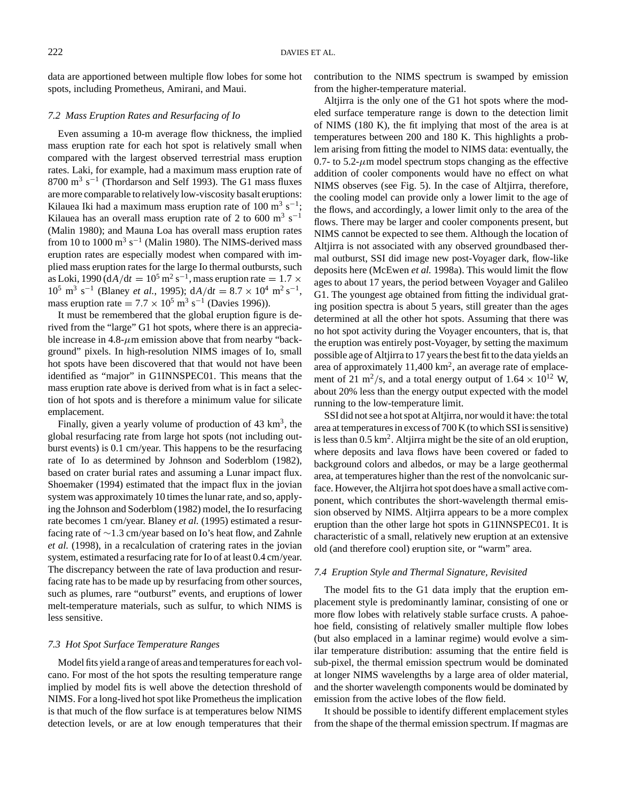data are apportioned between multiple flow lobes for some hot spots, including Prometheus, Amirani, and Maui.

## *7.2 Mass Eruption Rates and Resurfacing of Io*

Even assuming a 10-m average flow thickness, the implied mass eruption rate for each hot spot is relatively small when compared with the largest observed terrestrial mass eruption rates. Laki, for example, had a maximum mass eruption rate of 8700 m<sup>3</sup> s<sup>-1</sup> (Thordarson and Self 1993). The G1 mass fluxes are more comparable to relatively low-viscosity basalt eruptions: Kilauea Iki had a maximum mass eruption rate of 100 m<sup>3</sup> s<sup>-1</sup>; Kilauea has an overall mass eruption rate of 2 to 600 m<sup>3</sup> s<sup>-1</sup> (Malin 1980); and Mauna Loa has overall mass eruption rates from 10 to 1000  $\text{m}^3$  s<sup>-1</sup> (Malin 1980). The NIMS-derived mass eruption rates are especially modest when compared with implied mass eruption rates for the large Io thermal outbursts, such as Loki, 1990 (d*A*/d*t* =  $10^5$  m<sup>2</sup> s<sup>-1</sup>, mass eruption rate =  $1.7 \times$  $10^5$  m<sup>3</sup> s<sup>-1</sup> (Blaney *et al.*, 1995);  $dA/dt = 8.7 \times 10^4$  m<sup>2</sup> s<sup>-1</sup>, mass eruption rate =  $7.7 \times 10^5$  m<sup>3</sup> s<sup>-1</sup> (Davies 1996)).

It must be remembered that the global eruption figure is derived from the "large" G1 hot spots, where there is an appreciable increase in  $4.8$ - $\mu$ m emission above that from nearby "background" pixels. In high-resolution NIMS images of Io, small hot spots have been discovered that that would not have been identified as "major" in G1INNSPEC01. This means that the mass eruption rate above is derived from what is in fact a selection of hot spots and is therefore a minimum value for silicate emplacement.

Finally, given a yearly volume of production of  $43 \text{ km}^3$ , the global resurfacing rate from large hot spots (not including outburst events) is 0.1 cm/year. This happens to be the resurfacing rate of Io as determined by Johnson and Soderblom (1982), based on crater burial rates and assuming a Lunar impact flux. Shoemaker (1994) estimated that the impact flux in the jovian system was approximately 10 times the lunar rate, and so, applying the Johnson and Soderblom (1982) model, the Io resurfacing rate becomes 1 cm/year. Blaney *et al.* (1995) estimated a resurfacing rate of ∼1.3 cm/year based on Io's heat flow, and Zahnle *et al.* (1998), in a recalculation of cratering rates in the jovian system, estimated a resurfacing rate for Io of at least 0.4 cm/year. The discrepancy between the rate of lava production and resurfacing rate has to be made up by resurfacing from other sources, such as plumes, rare "outburst" events, and eruptions of lower melt-temperature materials, such as sulfur, to which NIMS is less sensitive.

# *7.3 Hot Spot Surface Temperature Ranges*

Model fits yield a range of areas and temperatures for each volcano. For most of the hot spots the resulting temperature range implied by model fits is well above the detection threshold of NIMS. For a long-lived hot spot like Prometheus the implication is that much of the flow surface is at temperatures below NIMS detection levels, or are at low enough temperatures that their

contribution to the NIMS spectrum is swamped by emission from the higher-temperature material.

Altjirra is the only one of the G1 hot spots where the modeled surface temperature range is down to the detection limit of NIMS (180 K), the fit implying that most of the area is at temperatures between 200 and 180 K. This highlights a problem arising from fitting the model to NIMS data: eventually, the 0.7- to 5.2- $\mu$ m model spectrum stops changing as the effective addition of cooler components would have no effect on what NIMS observes (see Fig. 5). In the case of Altjirra, therefore, the cooling model can provide only a lower limit to the age of the flows, and accordingly, a lower limit only to the area of the flows. There may be larger and cooler components present, but NIMS cannot be expected to see them. Although the location of Altjirra is not associated with any observed groundbased thermal outburst, SSI did image new post-Voyager dark, flow-like deposits here (McEwen *et al.* 1998a). This would limit the flow ages to about 17 years, the period between Voyager and Galileo G1. The youngest age obtained from fitting the individual grating position spectra is about 5 years, still greater than the ages determined at all the other hot spots. Assuming that there was no hot spot activity during the Voyager encounters, that is, that the eruption was entirely post-Voyager, by setting the maximum possible age of Altjirra to 17 years the best fit to the data yields an area of approximately  $11,400 \text{ km}^2$ , an average rate of emplacement of 21 m<sup>2</sup>/s, and a total energy output of  $1.64 \times 10^{12}$  W, about 20% less than the energy output expected with the model running to the low-temperature limit.

SSI did not see a hot spot at Altjirra, nor would it have: the total area at temperatures in excess of 700 K (to which SSI is sensitive) is less than  $0.5 \text{ km}^2$ . Altjirra might be the site of an old eruption, where deposits and lava flows have been covered or faded to background colors and albedos, or may be a large geothermal area, at temperatures higher than the rest of the nonvolcanic surface. However, the Altjirra hot spot does have a small active component, which contributes the short-wavelength thermal emission observed by NIMS. Altjirra appears to be a more complex eruption than the other large hot spots in G1INNSPEC01. It is characteristic of a small, relatively new eruption at an extensive old (and therefore cool) eruption site, or "warm" area.

#### *7.4 Eruption Style and Thermal Signature, Revisited*

The model fits to the G1 data imply that the eruption emplacement style is predominantly laminar, consisting of one or more flow lobes with relatively stable surface crusts. A pahoehoe field, consisting of relatively smaller multiple flow lobes (but also emplaced in a laminar regime) would evolve a similar temperature distribution: assuming that the entire field is sub-pixel, the thermal emission spectrum would be dominated at longer NIMS wavelengths by a large area of older material, and the shorter wavelength components would be dominated by emission from the active lobes of the flow field.

It should be possible to identify different emplacement styles from the shape of the thermal emission spectrum. If magmas are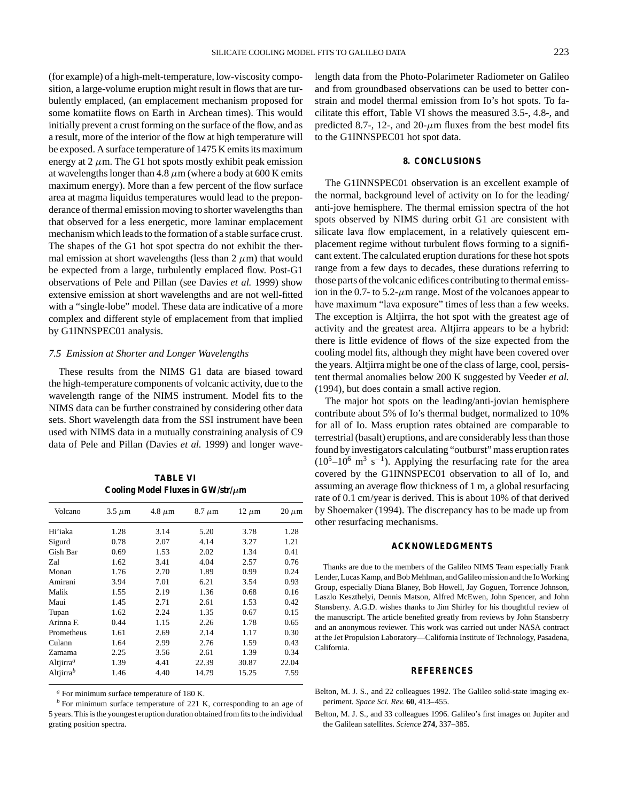(for example) of a high-melt-temperature, low-viscosity composition, a large-volume eruption might result in flows that are turbulently emplaced, (an emplacement mechanism proposed for some komatiite flows on Earth in Archean times). This would initially prevent a crust forming on the surface of the flow, and as a result, more of the interior of the flow at high temperature will be exposed. A surface temperature of 1475 K emits its maximum energy at  $2 \mu m$ . The G1 hot spots mostly exhibit peak emission at wavelengths longer than 4.8  $\mu$ m (where a body at 600 K emits maximum energy). More than a few percent of the flow surface area at magma liquidus temperatures would lead to the preponderance of thermal emission moving to shorter wavelengths than that observed for a less energetic, more laminar emplacement mechanism which leads to the formation of a stable surface crust. The shapes of the G1 hot spot spectra do not exhibit the thermal emission at short wavelengths (less than  $2 \mu m$ ) that would be expected from a large, turbulently emplaced flow. Post-G1 observations of Pele and Pillan (see Davies *et al.* 1999) show extensive emission at short wavelengths and are not well-fitted with a "single-lobe" model. These data are indicative of a more complex and different style of emplacement from that implied by G1INNSPEC01 analysis.

## *7.5 Emission at Shorter and Longer Wavelengths*

These results from the NIMS G1 data are biased toward the high-temperature components of volcanic activity, due to the wavelength range of the NIMS instrument. Model fits to the NIMS data can be further constrained by considering other data sets. Short wavelength data from the SSI instrument have been used with NIMS data in a mutually constraining analysis of C9 data of Pele and Pillan (Davies *et al.* 1999) and longer wave-

**TABLE VI Cooling Model Fluxes in GW/str/***µ***m**

| Volcano               | $3.5 \mu m$ | 4.8 $\mu$ m | $8.7 \mu m$ | $12 \mu m$ | $20 \mu m$ |
|-----------------------|-------------|-------------|-------------|------------|------------|
| Hi'iaka               | 1.28        | 3.14        | 5.20        | 3.78       | 1.28       |
| Sigurd                | 0.78        | 2.07        | 4.14        | 3.27       | 1.21       |
| Gish Bar              | 0.69        | 1.53        | 2.02        | 1.34       | 0.41       |
| Zal                   | 1.62        | 3.41        | 4.04        | 2.57       | 0.76       |
| Monan                 | 1.76        | 2.70        | 1.89        | 0.99       | 0.24       |
| Amirani               | 3.94        | 7.01        | 6.21        | 3.54       | 0.93       |
| Malik                 | 1.55        | 2.19        | 1.36        | 0.68       | 0.16       |
| Maui                  | 1.45        | 2.71        | 2.61        | 1.53       | 0.42       |
| Tupan                 | 1.62        | 2.24        | 1.35        | 0.67       | 0.15       |
| Arinna F.             | 0.44        | 1.15        | 2.26        | 1.78       | 0.65       |
| Prometheus            | 1.61        | 2.69        | 2.14        | 1.17       | 0.30       |
| Culann                | 1.64        | 2.99        | 2.76        | 1.59       | 0.43       |
| Zamama                | 2.25        | 3.56        | 2.61        | 1.39       | 0.34       |
| Altjirra <sup>a</sup> | 1.39        | 4.41        | 22.39       | 30.87      | 22.04      |
| Altjirra <sup>b</sup> | 1.46        | 4.40        | 14.79       | 15.25      | 7.59       |

*<sup>a</sup>* For minimum surface temperature of 180 K.

*<sup>b</sup>* For minimum surface temperature of 221 K, corresponding to an age of 5 years. This is the youngest eruption duration obtained from fits to the individual grating position spectra.

length data from the Photo-Polarimeter Radiometer on Galileo and from groundbased observations can be used to better constrain and model thermal emission from Io's hot spots. To facilitate this effort, Table VI shows the measured 3.5-, 4.8-, and predicted 8.7-, 12-, and 20- $\mu$ m fluxes from the best model fits to the G1INNSPEC01 hot spot data.

## **8. CONCLUSIONS**

The G1INNSPEC01 observation is an excellent example of the normal, background level of activity on Io for the leading/ anti-jove hemisphere. The thermal emission spectra of the hot spots observed by NIMS during orbit G1 are consistent with silicate lava flow emplacement, in a relatively quiescent emplacement regime without turbulent flows forming to a significant extent. The calculated eruption durations for these hot spots range from a few days to decades, these durations referring to those parts of the volcanic edifices contributing to thermal emission in the 0.7- to 5.2- $\mu$ m range. Most of the volcanoes appear to have maximum "lava exposure" times of less than a few weeks. The exception is Altjirra, the hot spot with the greatest age of activity and the greatest area. Altjirra appears to be a hybrid: there is little evidence of flows of the size expected from the cooling model fits, although they might have been covered over the years. Altjirra might be one of the class of large, cool, persistent thermal anomalies below 200 K suggested by Veeder *et al.* (1994), but does contain a small active region.

The major hot spots on the leading/anti-jovian hemisphere contribute about 5% of Io's thermal budget, normalized to 10% for all of Io. Mass eruption rates obtained are comparable to terrestrial (basalt) eruptions, and are considerably less than those found by investigators calculating "outburst" mass eruption rates  $(10^5-10^6 \text{ m}^3 \text{ s}^{-1})$ . Applying the resurfacing rate for the area covered by the G1INNSPEC01 observation to all of Io, and assuming an average flow thickness of 1 m, a global resurfacing rate of 0.1 cm/year is derived. This is about 10% of that derived by Shoemaker (1994). The discrepancy has to be made up from other resurfacing mechanisms.

### **ACKNOWLEDGMENTS**

Thanks are due to the members of the Galileo NIMS Team especially Frank Lender, Lucas Kamp, and Bob Mehlman, and Galileo mission and the Io Working Group, especially Diana Blaney, Bob Howell, Jay Goguen, Torrence Johnson, Laszlo Keszthelyi, Dennis Matson, Alfred McEwen, John Spencer, and John Stansberry. A.G.D. wishes thanks to Jim Shirley for his thoughtful review of the manuscript. The article benefited greatly from reviews by John Stansberry and an anonymous reviewer. This work was carried out under NASA contract at the Jet Propulsion Laboratory—California Institute of Technology, Pasadena, California.

#### **REFERENCES**

- Belton, M. J. S., and 22 colleagues 1992. The Galileo solid-state imaging experiment. *Space Sci. Rev.* **60**, 413–455.
- Belton, M. J. S., and 33 colleagues 1996. Galileo's first images on Jupiter and the Galilean satellites. *Science* **274**, 337–385.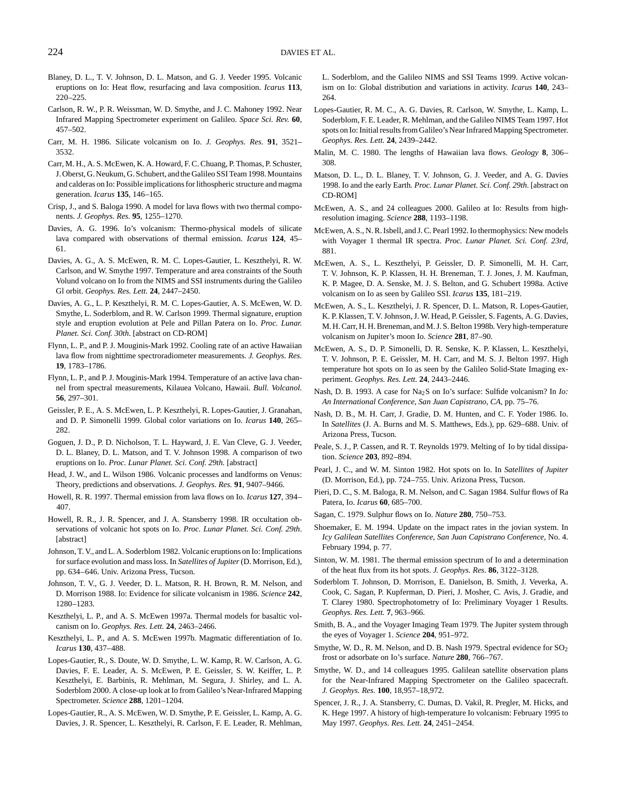- Blaney, D. L., T. V. Johnson, D. L. Matson, and G. J. Veeder 1995. Volcanic eruptions on Io: Heat flow, resurfacing and lava composition. *Icarus* **113**, 220–225.
- Carlson, R. W., P. R. Weissman, W. D. Smythe, and J. C. Mahoney 1992. Near Infrared Mapping Spectrometer experiment on Galileo. *Space Sci. Rev.* **60**, 457–502.
- Carr, M. H. 1986. Silicate volcanism on Io. *J. Geophys. Res.* **91**, 3521– 3532.
- Carr, M. H., A. S. McEwen, K. A. Howard, F. C. Chuang, P. Thomas, P. Schuster, J. Oberst, G. Neukum, G. Schubert, and the Galileo SSI Team 1998. Mountains and calderas on Io: Possible implications for lithospheric structure and magma generation. *Icarus* **135**, 146–165.
- Crisp, J., and S. Baloga 1990. A model for lava flows with two thermal components. *J. Geophys. Res.* **95**, 1255–1270.
- Davies, A. G. 1996. Io's volcanism: Thermo-physical models of silicate lava compared with observations of thermal emission. *Icarus* **124**, 45– 61.
- Davies, A. G., A. S. McEwen, R. M. C. Lopes-Gautier, L. Keszthelyi, R. W. Carlson, and W. Smythe 1997. Temperature and area constraints of the South Volund volcano on Io from the NIMS and SSI instruments during the Galileo Gl orbit. *Geophys. Res. Lett.* **24**, 2447–2450.
- Davies, A. G., L. P. Keszthelyi, R. M. C. Lopes-Gautier, A. S. McEwen, W. D. Smythe, L. Soderblom, and R. W. Carlson 1999. Thermal signature, eruption style and eruption evolution at Pele and Pillan Patera on Io. *Proc. Lunar. Planet. Sci. Conf. 30th*. [abstract on CD-ROM]
- Flynn, L. P., and P. J. Mouginis-Mark 1992. Cooling rate of an active Hawaiian lava flow from nighttime spectroradiometer measurements. *J. Geophys. Res.* **19**, 1783–1786.
- Flynn, L. P., and P. J. Mouginis-Mark 1994. Temperature of an active lava channel from spectral measurements, Kilauea Volcano, Hawaii. *Bull. Volcanol.* **56**, 297–301.
- Geissler, P. E., A. S. McEwen, L. P. Keszthelyi, R. Lopes-Gautier, J. Granahan, and D. P. Simonelli 1999. Global color variations on Io. *Icarus* **140**, 265– 282.
- Goguen, J. D., P. D. Nicholson, T. L. Hayward, J. E. Van Cleve, G. J. Veeder, D. L. Blaney, D. L. Matson, and T. V. Johnson 1998. A comparison of two eruptions on Io. *Proc. Lunar Planet. Sci. Conf. 29th.* [abstract]
- Head, J. W., and L. Wilson 1986. Volcanic processes and landforms on Venus: Theory, predictions and observations. *J. Geophys. Res.* **91**, 9407–9466.
- Howell, R. R. 1997. Thermal emission from lava flows on Io. *Icarus* **127**, 394– 407.
- Howell, R. R., J. R. Spencer, and J. A. Stansberry 1998. IR occultation observations of volcanic hot spots on Io. *Proc. Lunar Planet. Sci. Conf. 29th*. [abstract]
- Johnson, T. V., and L. A. Soderblom 1982. Volcanic eruptions on Io: Implications for surface evolution and mass loss. In *Satellites of Jupiter*(D. Morrison, Ed.), pp. 634–646. Univ. Arizona Press, Tucson.
- Johnson, T. V., G. J. Veeder, D. L. Matson, R. H. Brown, R. M. Nelson, and D. Morrison 1988. Io: Evidence for silicate volcanism in 1986. *Science* **242**, 1280–1283.
- Keszthelyi, L. P., and A. S. McEwen 1997a. Thermal models for basaltic volcanism on Io. *Geophys. Res. Lett.* **24**, 2463–2466.
- Keszthelyi, L. P., and A. S. McEwen 1997b. Magmatic differentiation of Io. *Icarus* **130**, 437–488.
- Lopes-Gautier, R., S. Doute, W. D. Smythe, L. W. Kamp, R. W. Carlson, A. G. Davies, F. E. Leader, A. S. McEwen, P. E. Geissler, S. W. Keiffer, L. P. Keszthelyi, E. Barbinis, R. Mehlman, M. Segura, J. Shirley, and L. A. Soderblom 2000. A close-up look at Io from Galileo's Near-Infrared Mapping Spectrometer. *Science* **288**, 1201–1204.
- Lopes-Gautier, R., A. S. McEwen, W. D. Smythe, P. E. Geissler, L. Kamp, A. G. Davies, J. R. Spencer, L. Keszthelyi, R. Carlson, F. E. Leader, R. Mehlman,

L. Soderblom, and the Galileo NIMS and SSI Teams 1999. Active volcanism on Io: Global distribution and variations in activity. *Icarus* **140**, 243– 264.

- Lopes-Gautier, R. M. C., A. G. Davies, R. Carlson, W. Smythe, L. Kamp, L. Soderblom, F. E. Leader, R. Mehlman, and the Galileo NIMS Team 1997. Hot spots on Io: Initial results from Galileo's Near Infrared Mapping Spectrometer. *Geophys. Res. Lett.* **24**, 2439–2442.
- Malin, M. C. 1980. The lengths of Hawaiian lava flows. *Geology* **8**, 306– 308.
- Matson, D. L., D. L. Blaney, T. V. Johnson, G. J. Veeder, and A. G. Davies 1998. Io and the early Earth. *Proc. Lunar Planet. Sci. Conf. 29th*. [abstract on CD-ROM]
- McEwen, A. S., and 24 colleagues 2000. Galileo at Io: Results from highresolution imaging. *Science* **288**, 1193–1198.
- McEwen, A. S., N. R. Isbell, and J. C. Pearl 1992. Io thermophysics: New models with Voyager 1 thermal IR spectra. *Proc. Lunar Planet. Sci. Conf. 23rd*, 881.
- McEwen, A. S., L. Keszthelyi, P. Geissler, D. P. Simonelli, M. H. Carr, T. V. Johnson, K. P. Klassen, H. H. Breneman, T. J. Jones, J. M. Kaufman, K. P. Magee, D. A. Senske, M. J. S. Belton, and G. Schubert 1998a. Active volcanism on Io as seen by Galileo SSI. *Icarus* **135**, 181–219.
- McEwen, A. S., L. Keszthelyi, J. R. Spencer, D. L. Matson, R. Lopes-Gautier, K. P. Klassen, T. V. Johnson, J. W. Head, P. Geissler, S. Fagents, A. G. Davies, M. H. Carr, H. H. Breneman, and M. J. S. Belton 1998b. Very high-temperature volcanism on Jupiter's moon Io. *Science* **281**, 87–90.
- McEwen, A. S., D. P. Simonelli, D. R. Senske, K. P. Klassen, L. Keszthelyi, T. V. Johnson, P. E. Geissler, M. H. Carr, and M. S. J. Belton 1997. High temperature hot spots on Io as seen by the Galileo Solid-State Imaging experiment. *Geophys. Res. Lett.* **24**, 2443–2446.
- Nash, D. B. 1993. A case for Na<sub>2</sub>S on Io's surface: Sulfide volcanism? In *Io*: *An International Conference, San Juan Capistrano, CA*, pp. 75–76.
- Nash, D. B., M. H. Carr, J. Gradie, D. M. Hunten, and C. F. Yoder 1986. Io. In *Satellites* (J. A. Burns and M. S. Matthews, Eds.), pp. 629–688. Univ. of Arizona Press, Tucson.
- Peale, S. J., P. Cassen, and R. T. Reynolds 1979. Melting of Io by tidal dissipation. *Science* **203**, 892–894.
- Pearl, J. C., and W. M. Sinton 1982. Hot spots on Io. In *Satellites of Jupiter* (D. Morrison, Ed.), pp. 724–755. Univ. Arizona Press, Tucson.
- Pieri, D. C., S. M. Baloga, R. M. Nelson, and C. Sagan 1984. Sulfur flows of Ra Patera, Io. *Icarus* **60**, 685–700.
- Sagan, C. 1979. Sulphur flows on Io. *Nature* **280**, 750–753.
- Shoemaker, E. M. 1994. Update on the impact rates in the jovian system. In *Icy Galilean Satellites Conference, San Juan Capistrano Conference*, No. 4. February 1994, p. 77.
- Sinton, W. M. 1981. The thermal emission spectrum of Io and a determination of the heat flux from its hot spots. *J. Geophys. Res.* **86**, 3122–3128.
- Soderblom T. Johnson, D. Morrison, E. Danielson, B. Smith, J. Veverka, A. Cook, C. Sagan, P. Kupferman, D. Pieri, J. Mosher, C. Avis, J. Gradie, and T. Clarey 1980. Spectrophotometry of Io: Preliminary Voyager 1 Results. *Geophys. Res. Lett.* **7**, 963–966.
- Smith, B. A., and the Voyager Imaging Team 1979. The Jupiter system through the eyes of Voyager 1. *Science* **204**, 951–972.
- Smythe, W. D., R. M. Nelson, and D. B. Nash 1979. Spectral evidence for  $SO_2$ frost or adsorbate on Io's surface. *Nature* **280**, 766–767.
- Smythe, W. D., and 14 colleagues 1995. Galilean satellite observation plans for the Near-Infrared Mapping Spectrometer on the Galileo spacecraft. *J. Geophys. Res.* **100**, 18,957–18,972.
- Spencer, J. R., J. A. Stansberry, C. Dumas, D. Vakil, R. Pregler, M. Hicks, and K. Hege 1997. A history of high-temperature Io volcanism: February 1995 to May 1997. *Geophys. Res. Lett.* **24**, 2451–2454.